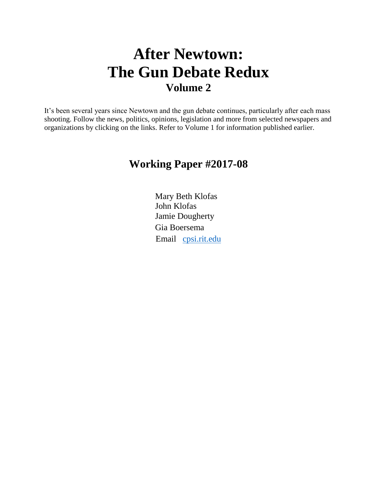# **After Newtown: The Gun Debate Redux Volume 2**

It's been several years since Newtown and the gun debate continues, particularly after each mass shooting. Follow the news, politics, opinions, legislation and more from selected newspapers and organizations by clicking on the links. Refer to Volume 1 for information published earlier.

## **Working Paper #2017-08**

Mary Beth Klofas John Klofas Jamie Dougherty Gia Boersema Email [cpsi.rit.edu](mailto:cpsi.rit.edu)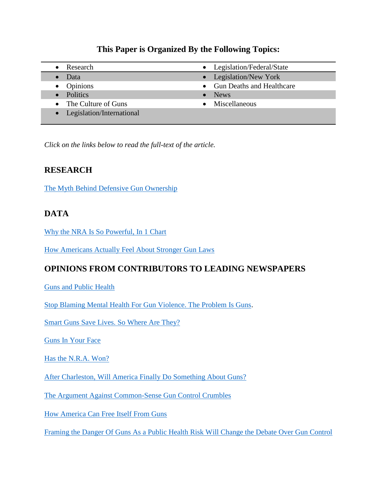#### **This Paper is Organized By the Following Topics:**

- 
- 
- 
- The Culture of Guns Miscellaneous
- Legislation/International
- Research **Legislation/Federal/State** • Data **Legislation/New York** • Opinions • Gun Deaths and Healthcare • Politics • News

*Click on the links below to read the full-text of the article.*

#### **RESEARCH**

[The Myth Behind Defensive Gun Ownership](http://www.politico.com/magazine/story/2015/01/defensive-gun-ownership-myth-114262)

#### **DATA**

[Why the NRA Is So Powerful, In 1 Chart](https://www.washingtonpost.com/news/the-fix/wp/2014/11/08/why-the-nra-is-so-powerful-in-1-chart/)

[How Americans Actually Feel About Stronger Gun Laws](https://www.washingtonpost.com/news/post-nation/wp/2015/08/29/how-americans-actually-feel-about-stronger-gun-laws/)

#### **OPINIONS FROM CONTRIBUTORS TO LEADING NEWSPAPERS**

[Guns and Public Health](http://www.nytimes.com/2014/11/04/opinion/joe-nocera-guns-and-public-health.html?module=Search&mabReward=relbias%3As%2C%7B%222%22%3A%22RI%3A15%22%7D&_r=0)

[Stop Blaming Mental Health For Gun Violence. The Problem Is Guns.](https://www.washingtonpost.com/posteverything/wp/2014/12/26/stop-blaming-mental-health-for-gun-violence-the-problem-is-guns/)

[Smart Guns Save Lives. So Where Are They?](http://www.nytimes.com/2015/01/18/opinion/sunday/nicholas-kristof-smart-guns-save-lives-so-where-are-they.html?hp&action=click&pgtype=Homepage&module=c-column-top-span-region)

[Guns In Your Face](http://www.nytimes.com/2015/06/13/opinion/gail-collins-guns-in-your-face.html?action=click&pgtype=Homepage&module=opinion-c-col-right-region)

[Has the N.R.A. Won?](http://www.nytimes.com/2015/04/20/opinion/charles-blow-has-the-nra-won.html?&hp&action=click&pgtype=Homepage&module=c-column-top-span-region)

[After Charleston, Will America Finally Do Something About Guns?](https://www.washingtonpost.com/opinions/remember-mother-emanuel/2015/06/18/def89714-15f3-11e5-9518-f9e0a8959f32_story.html?hpid=z4)

[The Argument Against Common-Sense Gun Control Crumbles](https://www.washingtonpost.com/opinions/the-argument-against-common-sense-gun-control-crumbles/2015/07/12/545c7bf4-273f-11e5-b72c-2b7d516e1e0e_story.html?hpid=z3)

[How America Can Free Itself From Guns](https://www.washingtonpost.com/opinions/the-right-to-be-free-from-guns/2015/06/24/0e2d8d04-1a8c-11e5-bd7f-4611a60dd8e5_story.html)

[Framing the Danger Of Guns As a Public Health Risk Will Change the Debate Over Gun Control](https://www.washingtonpost.com/opinions/framing-the-danger-of-guns-as-a-public-health-risk-will-change-the-debate-over-gun-control/2014/05/02/e4a73490-cf27-11e3-a6b1-45c4dffb85a6_story.html)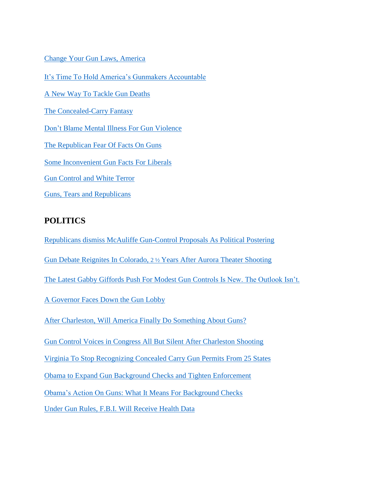[Change Your Gun Laws, America](https://www.washingtonpost.com/opinions/dont-give-up-the-fight-to-reduce-us-gun-violence/2015/07/30/5c7b375e-36e8-11e5-9739-170df8af8eb9_story.html?hpid=z3)

[It's Time To Hold America's Gunmakers Accountable](https://www.washingtonpost.com/opinions/hold-the-gunmakers-accountable/2015/10/07/07a0ded4-6d23-11e5-9bfe-e59f5e244f92_story.html)

[A New Way To Tackle Gun Deaths](http://www.nytimes.com/2015/10/04/opinion/sunday/nicholas-kristof-a-new-way-to-tackle-gun-deaths.html?smid=nytcore-ipad-share&smprod=nytcore-ipad)

[The Concealed-Carry Fantasy](http://www.nytimes.com/2015/10/26/opinion/the-concealed-carry-fantasy.html?action=click&pgtype=Homepage&module=opinion-c-col-left-region)

[Don't Blame Mental Illness For Gun Violence](http://www.nytimes.com/2015/12/16/opinion/dont-blame-mental-illness-for-gun-violence.html?action=click&pgtype=Homepage&clickSource=story-heading&module=opinion-c-col-left-region)

[The Republican Fear Of Facts On Guns](http://www.nytimes.com/2015/12/24/opinion/the-republican-fear-of-facts-on-guns.html?action=click&pgtype=Homepage&clickSource=story-heading&module=opinion-c-col-left-region)

[Some Inconvenient Gun Facts For Liberals](http://www.nytimes.com/2016/01/17/opinion/sunday/some-inconvenient-gun-facts-for-liberals.html?mabReward=CTM&moduleDetail=recommendations-2&action=click&contentCollection=U.S.)

[Gun Control and White Terror](http://www.nytimes.com/2016/01/07/opinion/gun-control-and-white-terror.html?action=click&pgtype=Homepage&clickSource=story-heading&module=opinion-c-col-right-region)

[Guns, Tears and Republicans](http://www.nytimes.com/2016/01/07/opinion/guns-tears-and-republicans.html?action=click&pgtype=Homepage&clickSource=story-heading&module=opinion-c-col-right-region)

#### **POLITICS**

[Republicans dismiss McAuliffe Gun-Control Proposals As Political Postering](https://www.washingtonpost.com/local/virginia-politics/republicans-dismiss-mcauliffe-gun-control-proposals-as-political-posturing/2014/12/16/54fb4aac-84bc-11e4-a702-fa31ff4ae98e_story.html?tid=hpModule_13097a0c-868e-11e2-9d71-f0feafdd1394&hpid=z11)

Gun Debate Reignites In Colorado, 2 ½ [Years After Aurora Theater Shooting](http://www.nytimes.com/2015/02/07/us/politics/gun-debate-reignites-in-colorado-2-years-after-aurora-theater-shooting.html?ref=us&_r=0)

[The Latest Gabby Giffords Push For Modest Gun Controls Is New. The Outlook Isn't.](https://www.washingtonpost.com/news/post-politics/wp/2015/03/04/the-latest-gabby-giffords-push-for-modest-gun-controls-is-new-the-outlook-isnt/)

[A Governor Faces Down the Gun Lobby](http://takingnote.blogs.nytimes.com/2015/03/20/a-governor-faces-down-the-gun-lobby/?ref=politics)

[After Charleston, Will America Finally Do Something About Guns?](https://www.washingtonpost.com/opinions/remember-mother-emanuel/2015/06/18/def89714-15f3-11e5-9518-f9e0a8959f32_story.html?hpid=z4)

[Gun Control Voices in Congress All But Silent After Charleston Shooting](file:///C:/Users/Mary%20Beth/Desktop/CPSI/Gun%20Paper/Gun%20Control%20Voices%20in%20Congress%20All%20But%20Silent%20After%20Charleston%20Shooting)

[Virginia To Stop Recognizing Concealed Carry Gun Permits From 25 States](https://www.washingtonpost.com/local/virginia-politics/va-attorney-general-mark-herring-delivers-blow-to-gun-rights-advocates/2015/12/21/d72ce3d0-a821-11e5-9b92-dea7cd4b1a4d_story.html?hpid=hp_hp-top-table-main_vaguns-605am%3Ahomepage%2Fstory)

[Obama to Expand Gun Background Checks and Tighten Enforcement](http://www.nytimes.com/2016/01/05/us/politics/obama-says-he-will-act-on-gun-control-in-coming-days.html?hp&action=click&pgtype=Homepage&clickSource=story-heading&module=photo-spot-region)

Obama's Action On [Guns: What It Means For Background Checks](http://www.nytimes.com/2016/01/06/us/politics/guns-president-obama-executive-action-background-checks.html?rref=collection%2Fsectioncollection%2Fus&action=click&contentCollection=us&_r=0)

[Under Gun Rules, F.B.I. Will Receive Health Data](http://www.nytimes.com/2016/01/07/us/politics/under-gun-rules-fbi-will-receive-health-data.html?hpw&rref=business&action=click&pgtype=Homepage&module=well-region)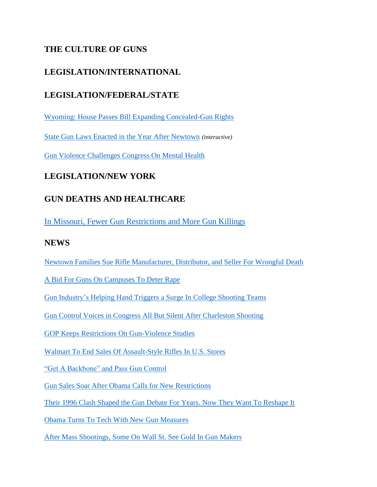#### **THE CULTURE OF GUNS**

#### **LEGISLATION/INTERNATIONAL**

#### **LEGISLATION/FEDERAL/STATE**

[Wyoming: House Passes Bill Expanding Concealed-Gun Rights](http://www.nytimes.com/2015/02/03/us/wyoming-house-passes-bill-expanding-concealed-gun-rights.html?ref=politics)

[State Gun Laws Enacted in the Year After Newtown](http://www.nytimes.com/interactive/2013/12/10/us/state-gun-laws-enacted-in-the-year-since-newtown.html?ref=us) *(interactive)*

[Gun Violence Challenges Congress On Mental Health](http://www.politico.com/story/2015/11/mental-health-gun-control-nra-216221)

#### **LEGISLATION/NEW YORK**

#### **GUN DEATHS AND HEALTHCARE**

[In Missouri, Fewer Gun Restrictions and More Gun Killings](http://www.nytimes.com/2015/12/22/health/in-missouri-fewer-gun-restrictions-and-more-gun-killings.html)

#### **NEWS**

[Newtown Families Sue Rifle Manufacturer, Distributor, and Seller For Wrongful Death](https://www.washingtonpost.com/news/post-nation/wp/2014/12/15/newtown-families-sue-rifle-manufacturer-distributor-and-seller-for-wrongful-death/?hpid=z4)

A Bid For [Guns On Campuses To Deter Rape](http://www.nytimes.com/2015/02/19/us/in-bid-to-allow-guns-on-campus-weapons-are-linked-to-fighting-sexual-assault.html?ref=us)

[Gun Industry's Helping Hand Triggers a Surge In College Shooting Teams](https://www.washingtonpost.com/local/gun-industrys-helping-hand-triggers-a-surge-in-college-shooting-clubs/2015/03/14/6bc31f4e-c8cd-11e4-a199-6cb5e63819d2_story.html?hpid=z1)

[Gun Control Voices in Congress All But Silent After Charleston Shooting](http://www.nytimes.com/2015/06/20/us/gun-control-voices-in-congress-all-but-silent-after-charleston-shooting.html?ref=us)

[GOP Keeps Restrictions On Gun-Violence Studies](http://www.politico.com/story/2015/06/gop-gun-violence-cdc-study-charleston-south-carolina-119384)

[Walmart To End Sales Of Assault-Style Rifles In U.S. Stores](http://www.nytimes.com/2015/08/27/business/walmart-to-end-sales-of-assault-rifles-in-us-stores.html?ref=us)

"Get A [Backbone" and Pass Gun Control](http://www.politico.com/magazine/story/2015/10/mayors-survey-congress-pass-gun-control-reform-213296)

[Gun Sales Soar After Obama Calls for New Restrictions](http://www.nytimes.com/interactive/2015/12/10/us/gun-sales-terrorism-obama-restrictions.html?ref=us)

[Their 1996 Clash Shaped the Gun Debate For Years. Now They Want To Reshape It](https://www.washingtonpost.com/business/economy/their-1996-clash-shaped-the-gun-debate-for-years-now-they-want-to-reshape-it/2015/12/30/707bfed6-a8e5-11e5-bff5-905b92f5f94b_story.html?hpid=hp_hp-more-top-stories_gunban-935pm%3Ahomepage%2Fstory)

[Obama Turns To Tech With New Gun Measures](http://www.politico.com/story/2016/01/obama-tech-gun-measures-217526)

[After Mass Shootings, Some On Wall St. See Gold In Gun Makers](http://www.nytimes.com/2016/01/07/business/after-mass-shootings-some-on-wall-st-cash-in-on-gun-shares.html?hp&action=click&pgtype=Homepage&clickSource=story-heading&module=second-column-region)